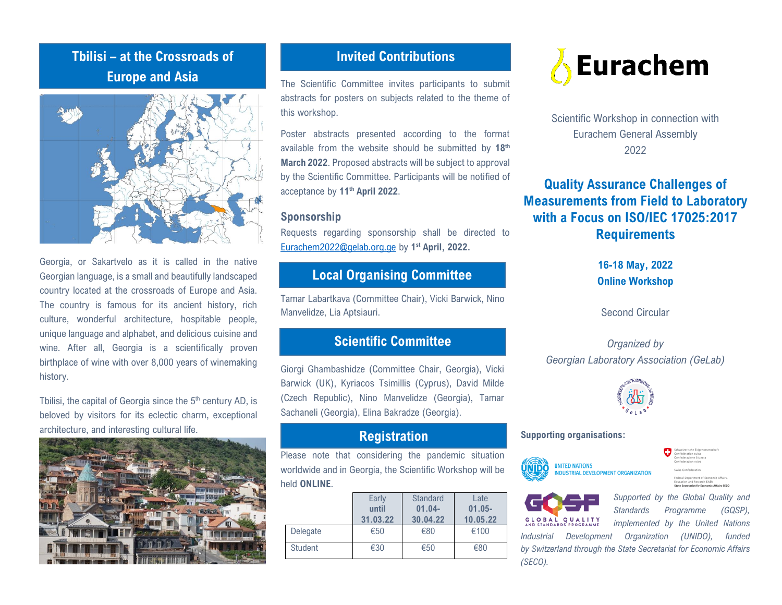# **Tbilisi – at the Crossroads of Europe and Asia**



Georgia, or Sakartvelo as it is called in the native Georgian language, is a small and beautifully landscaped country located at the crossroads of Europe and Asia. The country is famous for its ancient history, rich culture, wonderful architecture, hospitable people, unique language and alphabet, and delicious cuisine and wine. After all, Georgia is a scientifically proven birthplace of wine with over 8,000 years of winemaking history.

Tbilisi, the capital of Georgia since the 5<sup>th</sup> century AD, is beloved by visitors for its eclectic charm, exceptional architecture, and interesting cultural life.



## **Invited Contributions**

The Scientific Committee invites participants to submit abstracts for posters on subjects related to the theme of this workshop.

Poster abstracts presented according to the format available from the website should be submitted by 18<sup>th</sup> **March 2022**. Proposed abstracts will be subject to approval by the Scientific Committee. Participants will be notified of acceptance by **11 th April 2022**.

#### **Sponsorship**

Requests regarding sponsorship shall be directed to [Eurachem2022@gelab.org.ge](mailto:Eurachem2022@gelab.org.ge) by **1 st April, 2022.**

## **Local Organising Committee**

Tamar Labartkava (Committee Chair), Vicki Barwick, Nino Manvelidze, Lia Aptsiauri.

## **Scientific Committee**

Giorgi Ghambashidze (Committee Chair, Georgia), Vicki Barwick (UK), Kyriacos Tsimillis (Cyprus), David Milde (Czech Republic), Nino Manvelidze (Georgia), Tamar Sachaneli (Georgia), Elina Bakradze (Georgia).

### **Registration**

Please note that considering the pandemic situation worldwide and in Georgia, the Scientific Workshop will be held **ONLINE**.

|                | Early<br>until<br>31.03.22 | Standard<br>$01.04 -$<br>30.04.22 | Late<br>$01.05 -$<br>10.05.22 |
|----------------|----------------------------|-----------------------------------|-------------------------------|
| Delegate       | €50                        | €80                               | €100                          |
| <b>Student</b> | €30                        | €50                               | €80                           |



Scientific Workshop in connection with Eurachem General Assembly 2022

**Quality Assurance Challenges of Measurements from Field to Laboratory with a Focus on ISO/IEC 17025:2017 Requirements**

> **16-18 May, 2022 Online Workshop**

Second Circular

*Organized by Georgian Laboratory Association (GeLab)*



#### **Supporting organisations:**





*(SECO).*

*Supported by the Global Quality and Standards Programme (GQSP), implemented by the United Nations Industrial Development Organization (UNIDO), funded by Switzerland through the State Secretariat for Economic Affairs*